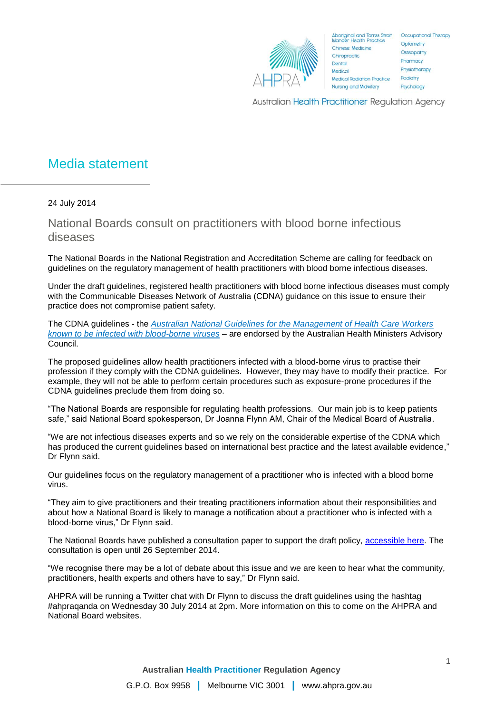

Aboriginal and Torres Strait Occupational Therapy<br>Islander Health Practice Chinese Medicine Chiropractic Dental Medical **Medical Radiation Practice** Nursing and Midwiferv

Optometry Osteopathy Pharmacy Physiotherapy Podiatry Psychology

Australian Health Practitioner Regulation Agency

## Media statement

24 July 2014

National Boards consult on practitioners with blood borne infectious diseases

The National Boards in the National Registration and Accreditation Scheme are calling for feedback on guidelines on the regulatory management of health practitioners with blood borne infectious diseases.

Under the draft guidelines, registered health practitioners with blood borne infectious diseases must comply with the Communicable Diseases Network of Australia (CDNA) guidance on this issue to ensure their practice does not compromise patient safety.

The CDNA guidelines - the *[Australian National Guidelines for the Management of Health Care Workers](http://www.health.gov.au/internet/main/publishing.nsf/Content/cda-cdna-bloodborne.htm)  [known to be infected with blood-borne viruses](http://www.health.gov.au/internet/main/publishing.nsf/Content/cda-cdna-bloodborne.htm)* – are endorsed by the Australian Health Ministers Advisory Council.

The proposed guidelines allow health practitioners infected with a blood-borne virus to practise their profession if they comply with the CDNA guidelines. However, they may have to modify their practice. For example, they will not be able to perform certain procedures such as exposure-prone procedures if the CDNA guidelines preclude them from doing so.

"The National Boards are responsible for regulating health professions. Our main job is to keep patients safe," said National Board spokesperson, Dr Joanna Flynn AM, Chair of the Medical Board of Australia.

"We are not infectious diseases experts and so we rely on the considerable expertise of the CDNA which has produced the current guidelines based on international best practice and the latest available evidence," Dr Flynn said.

Our guidelines focus on the regulatory management of a practitioner who is infected with a blood borne virus.

"They aim to give practitioners and their treating practitioners information about their responsibilities and about how a National Board is likely to manage a notification about a practitioner who is infected with a blood-borne virus," Dr Flynn said.

The National Boards have published a consultation paper to support the draft policy, [accessible here.](http://www.ahpra.gov.au/News/Consultations.aspx) The consultation is open until 26 September 2014.

"We recognise there may be a lot of debate about this issue and we are keen to hear what the community, practitioners, health experts and others have to say," Dr Flynn said.

AHPRA will be running a Twitter chat with Dr Flynn to discuss the draft guidelines using the hashtag #ahpraqanda on Wednesday 30 July 2014 at 2pm. More information on this to come on the AHPRA and National Board websites.